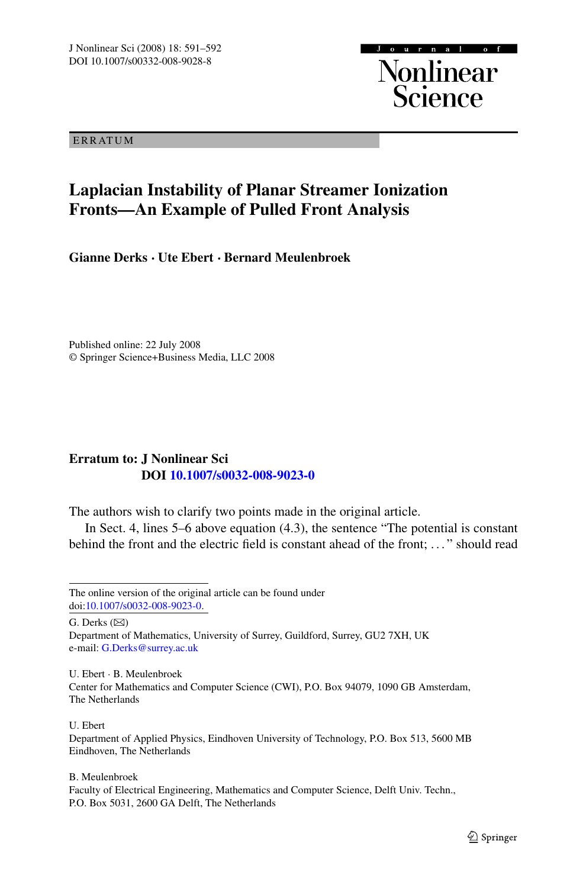ERRATUM

## **Laplacian Instability of Planar Streamer Ionization Fronts—An Example of Pulled Front Analysis**

 $0 \text{ } \text{ } n \text{ } \text{ } n \text{ } a \text{ } l$ 

**Nonlinear**<br>Science

**Gianne Derks · Ute Ebert · Bernard Meulenbroek**

Published online: 22 July 2008 © Springer Science+Business Media, LLC 2008

## **Erratum to: J Nonlinear Sci DOI [10.1007/s0032-008-9023-0](http://dx.doi.org/10.1007/s0032-008-9023-0)**

The authors wish to clarify two points made in the original article.

In Sect. 4, lines 5–6 above equation (4.3), the sentence "The potential is constant behind the front and the electric field is constant ahead of the front; ..." should read

G. Derks  $(\boxtimes)$ 

Department of Mathematics, University of Surrey, Guildford, Surrey, GU2 7XH, UK e-mail: [G.Derks@surrey.ac.uk](mailto:G.Derks@surrey.ac.uk)

U. Ebert · B. Meulenbroek Center for Mathematics and Computer Science (CWI), P.O. Box 94079, 1090 GB Amsterdam, The Netherlands

## U. Ebert

Department of Applied Physics, Eindhoven University of Technology, P.O. Box 513, 5600 MB Eindhoven, The Netherlands

B. Meulenbroek

The online version of the original article can be found under doi[:10.1007/s0032-008-9023-0](http://dx.doi.org/10.1007/s0032-008-9023-0).

Faculty of Electrical Engineering, Mathematics and Computer Science, Delft Univ. Techn., P.O. Box 5031, 2600 GA Delft, The Netherlands